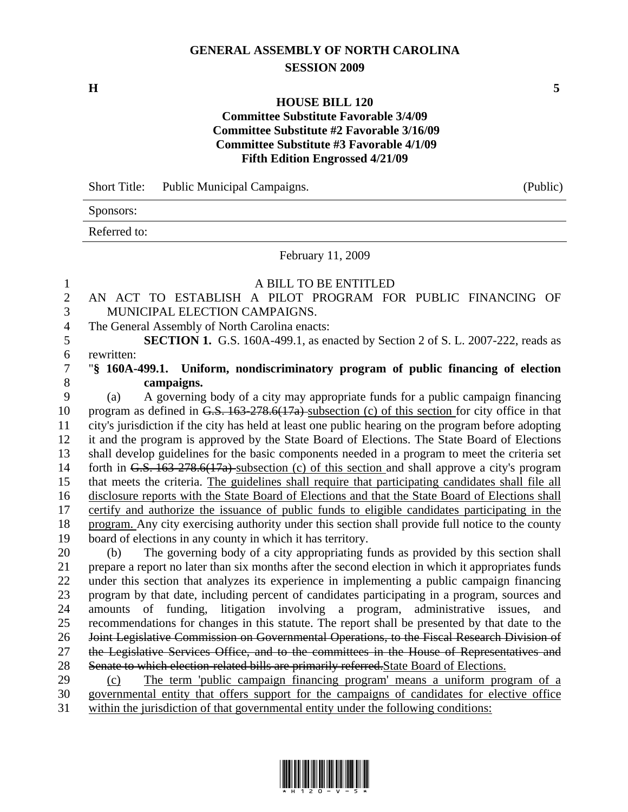## **GENERAL ASSEMBLY OF NORTH CAROLINA SESSION 2009**

**H 5** 

## **HOUSE BILL 120 Committee Substitute Favorable 3/4/09 Committee Substitute #2 Favorable 3/16/09 Committee Substitute #3 Favorable 4/1/09 Fifth Edition Engrossed 4/21/09**

Short Title: Public Municipal Campaigns. (Public)

Sponsors:

Referred to:

February 11, 2009

## 1 A BILL TO BE ENTITLED

- 2 AN ACT TO ESTABLISH A PILOT PROGRAM FOR PUBLIC FINANCING OF 3 MUNICIPAL ELECTION CAMPAIGNS.
- 4 The General Assembly of North Carolina enacts:

5 **SECTION 1.** G.S. 160A-499.1, as enacted by Section 2 of S. L. 2007-222, reads as 6 rewritten:

## 7 "**§ 160A-499.1. Uniform, nondiscriminatory program of public financing of election**  8 **campaigns.**

9 (a) A governing body of a city may appropriate funds for a public campaign financing 10 program as defined in G.S. 163-278.6(17a) subsection (c) of this section for city office in that 11 city's jurisdiction if the city has held at least one public hearing on the program before adopting 12 it and the program is approved by the State Board of Elections. The State Board of Elections 13 shall develop guidelines for the basic components needed in a program to meet the criteria set 14 forth in G.S. 163-278.6(17a) subsection (c) of this section and shall approve a city's program 15 that meets the criteria. The guidelines shall require that participating candidates shall file all 16 disclosure reports with the State Board of Elections and that the State Board of Elections shall 17 certify and authorize the issuance of public funds to eligible candidates participating in the 18 program. Any city exercising authority under this section shall provide full notice to the county 19 board of elections in any county in which it has territory.

20 (b) The governing body of a city appropriating funds as provided by this section shall 21 prepare a report no later than six months after the second election in which it appropriates funds 22 under this section that analyzes its experience in implementing a public campaign financing 23 program by that date, including percent of candidates participating in a program, sources and 24 amounts of funding, litigation involving a program, administrative issues, 25 recommendations for changes in this statute. The report shall be presented by that date to the 26 Joint Legislative Commission on Governmental Operations, to the Fiscal Research Division of 27 the Legislative Services Office, and to the committees in the House of Representatives and 28 Senate to which election-related bills are primarily referred. State Board of Elections.

29 (c) The term 'public campaign financing program' means a uniform program of a 30 governmental entity that offers support for the campaigns of candidates for elective office 31 within the jurisdiction of that governmental entity under the following conditions:

\*H120-v-5\*